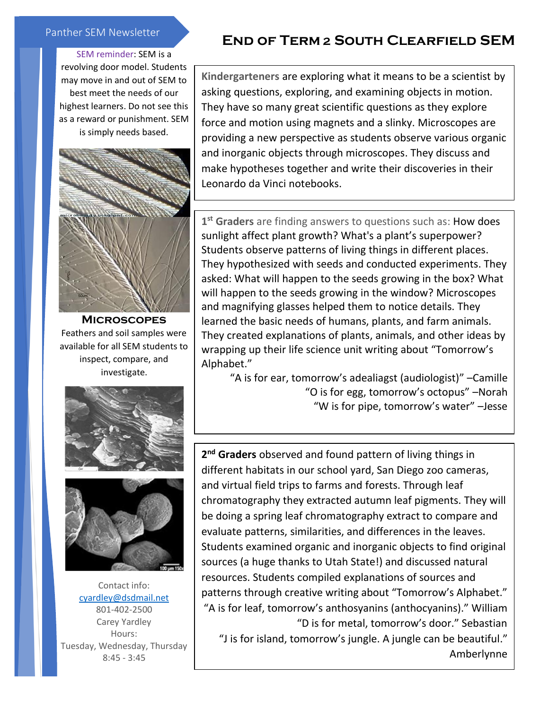## Panther SEM Newsletter

## SEM reminder: SEM is a

revolving door model. Students may move in and out of SEM to best meet the needs of our highest learners. Do not see this as a reward or punishment. SEM is simply needs based.



**Microscopes** Feathers and soil samples were available for all SEM students to inspect, compare, and investigate.





Contact info: [cyardley@dsdmail.net](mailto:cyardley@dsdmail.net) 801-402-2500 Carey Yardley Hours: Tuesday, Wednesday, Thursday 8:45 - 3:45

## **End of Term 2 South Clearfield SEM**

**Kindergarteners** are exploring what it means to be a scientist by asking questions, exploring, and examining objects in motion. They have so many great scientific questions as they explore force and motion using magnets and a slinky. Microscopes are providing a new perspective as students observe various organic and inorganic objects through microscopes. They discuss and make hypotheses together and write their discoveries in their Leonardo da Vinci notebooks.

**1 st Graders** are finding answers to questions such as: How does sunlight affect plant growth? What's a plant's superpower? Students observe patterns of living things in different places. They hypothesized with seeds and conducted experiments. They asked: What will happen to the seeds growing in the box? What will happen to the seeds growing in the window? Microscopes and magnifying glasses helped them to notice details. They learned the basic needs of humans, plants, and farm animals. They created explanations of plants, animals, and other ideas by wrapping up their life science unit writing about "Tomorrow's Alphabet."

"A is for ear, tomorrow's adealiagst (audiologist)" –Camille "O is for egg, tomorrow's octopus" –Norah "W is for pipe, tomorrow's water" –Jesse

**2 nd Graders** observed and found pattern of living things in different habitats in our school yard, San Diego zoo cameras, and virtual field trips to farms and forests. Through leaf chromatography they extracted autumn leaf pigments. They will be doing a spring leaf chromatography extract to compare and evaluate patterns, similarities, and differences in the leaves. Students examined organic and inorganic objects to find original sources (a huge thanks to Utah State!) and discussed natural resources. Students compiled explanations of sources and patterns through creative writing about "Tomorrow's Alphabet." "A is for leaf, tomorrow's anthosyanins (anthocyanins)." William "D is for metal, tomorrow's door." Sebastian

"J is for island, tomorrow's jungle. A jungle can be beautiful." Amberlynne